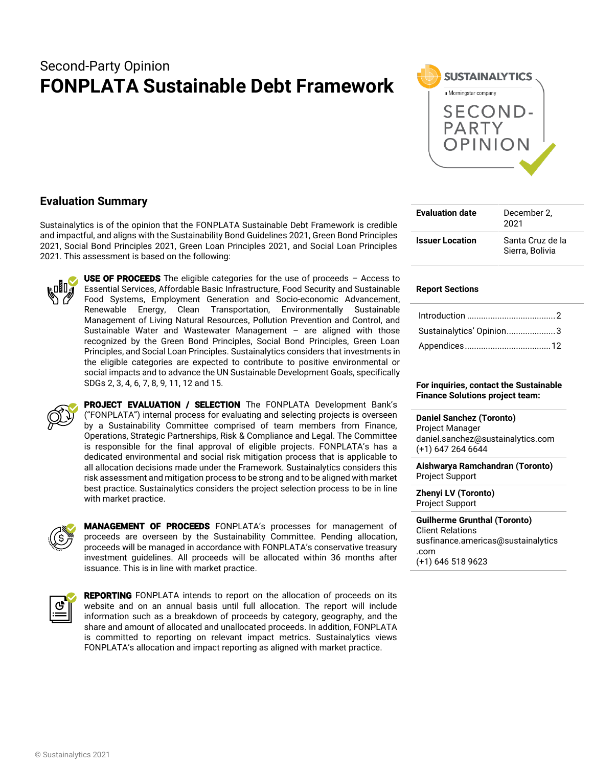# Second-Party Opinion **FONPLATA Sustainable Debt Framework**



# **Evaluation Summary**

Sustainalytics is of the opinion that the FONPLATA Sustainable Debt Framework is credible and impactful, and aligns with the Sustainability Bond Guidelines 2021, Green Bond Principles 2021, Social Bond Principles 2021, Green Loan Principles 2021, and Social Loan Principles 2021. This assessment is based on the following:



**USE OF PROCEEDS** The eligible categories for the use of proceeds  $-$  Access to Essential Services, Affordable Basic Infrastructure, Food Security and Sustainable Food Systems, Employment Generation and Socio-economic Advancement, Renewable Energy, Clean Transportation, Environmentally Sustainable Management of Living Natural Resources, Pollution Prevention and Control, and Sustainable Water and Wastewater Management – are aligned with those recognized by the Green Bond Principles, Social Bond Principles, Green Loan Principles, and Social Loan Principles. Sustainalytics considers that investments in the eligible categories are expected to contribute to positive environmental or social impacts and to advance the UN Sustainable Development Goals, specifically SDGs 2, 3, 4, 6, 7, 8, 9, 11, 12 and 15.



PROJECT EVALUATION / SELECTION The FONPLATA Development Bank's ("FONPLATA") internal process for evaluating and selecting projects is overseen by a Sustainability Committee comprised of team members from Finance, Operations, Strategic Partnerships, Risk & Compliance and Legal. The Committee is responsible for the final approval of eligible projects. FONPLATA's has a dedicated environmental and social risk mitigation process that is applicable to all allocation decisions made under the Framework. Sustainalytics considers this risk assessment and mitigation process to be strong and to be aligned with market best practice. Sustainalytics considers the project selection process to be in line with market practice.



MANAGEMENT OF PROCEEDS FONPLATA's processes for management of proceeds are overseen by the Sustainability Committee. Pending allocation, proceeds will be managed in accordance with FONPLATA's conservative treasury investment guidelines. All proceeds will be allocated within 36 months after issuance. This is in line with market practice.

<span id="page-0-0"></span>

| г |  |
|---|--|
|   |  |

**REPORTING** FONPLATA intends to report on the allocation of proceeds on its website and on an annual basis until full allocation. The report will include information such as a breakdown of proceeds by category, geography, and the share and amount of allocated and unallocated proceeds. In addition, FONPLATA is committed to reporting on relevant impact metrics. Sustainalytics views FONPLATA's allocation and impact reporting as aligned with market practice.

| <b>Evaluation date</b> | December 2.<br>2021                 |
|------------------------|-------------------------------------|
| <b>Issuer Location</b> | Santa Cruz de la<br>Sierra, Bolivia |

#### **Report Sections**

| Sustainalytics' Opinion3 |  |
|--------------------------|--|
|                          |  |

**For inquiries, contact the Sustainable Finance Solutions project team:**

**Daniel Sanchez (Toronto)** Project Manager daniel.sanchez@sustainalytics.com (+1) 647 264 6644

**Aishwarya Ramchandran (Toronto)** Project Support

**Zhenyi LV (Toronto)** Project Support

**Guilherme Grunthal (Toronto)** Client Relations susfinance.americas@sustainalytics .com (+1) 646 518 9623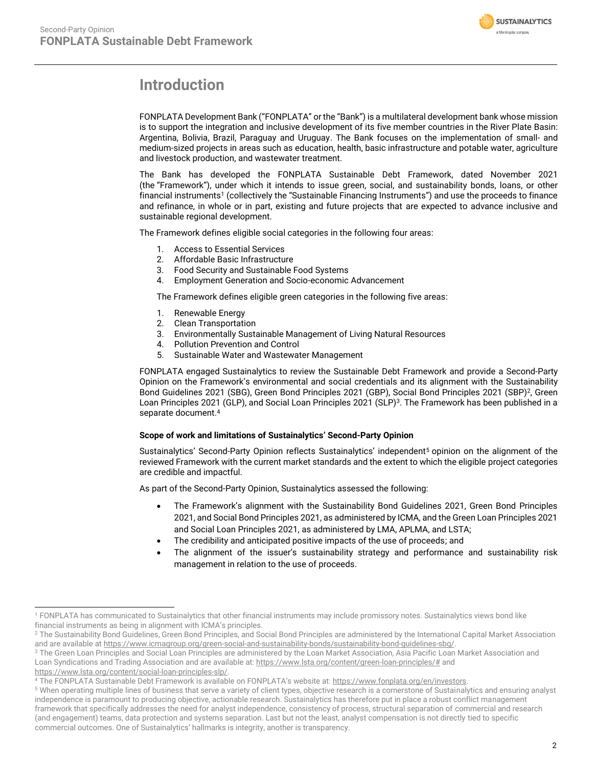

# **Introduction**

FONPLATA Development Bank ("FONPLATA" or the "Bank") is a multilateral development bank whose mission is to support the integration and inclusive development of its five member countries in the River Plate Basin: Argentina, Bolivia, Brazil, Paraguay and Uruguay. The Bank focuses on the implementation of small- and medium-sized projects in areas such as education, health, basic infrastructure and potable water, agriculture and livestock production, and wastewater treatment.

The Bank has developed the FONPLATA Sustainable Debt Framework, dated November 2021 (the "Framework"), under which it intends to issue green, social, and sustainability bonds, loans, or other financial instruments<sup>1</sup> (collectively the "Sustainable Financing Instruments") and use the proceeds to finance and refinance, in whole or in part, existing and future projects that are expected to advance inclusive and sustainable regional development.

The Framework defines eligible social categories in the following four areas:

- 1. Access to Essential Services
- 2. Affordable Basic Infrastructure
- 3. Food Security and Sustainable Food Systems
- 4. Employment Generation and Socio-economic Advancement

The Framework defines eligible green categories in the following five areas:

- 1. Renewable Energy
- 2. Clean Transportation
- 3. Environmentally Sustainable Management of Living Natural Resources
- 4. Pollution Prevention and Control
- 5. Sustainable Water and Wastewater Management

FONPLATA engaged Sustainalytics to review the Sustainable Debt Framework and provide a Second-Party Opinion on the Framework's environmental and social credentials and its alignment with the Sustainability Bond Guidelines 2021 (SBG), Green Bond Principles 2021 (GBP), Social Bond Principles 2021 (SBP)<sup>2</sup>, Green Loan Principles 2021 (GLP), and Social Loan Principles 2021 (SLP)<sup>3</sup>. The Framework has been published in a separate document.<sup>4</sup>

#### **Scope of work and limitations of Sustainalytics' Second-Party Opinion**

Sustainalytics' Second-Party Opinion reflects Sustainalytics' independent<sup>5</sup> opinion on the alignment of the reviewed Framework with the current market standards and the extent to which the eligible project categories are credible and impactful.

As part of the Second-Party Opinion, Sustainalytics assessed the following:

- The Framework's alignment with the Sustainability Bond Guidelines 2021, Green Bond Principles 2021, and Social Bond Principles 2021, as administered by ICMA, and the Green Loan Principles 2021 and Social Loan Principles 2021, as administered by LMA, APLMA, and LSTA;
- The credibility and anticipated positive impacts of the use of proceeds; and
- The alignment of the issuer's sustainability strategy and performance and sustainability risk management in relation to the use of proceeds.

[https://www.lsta.org/content/social-loan-principles-slp/.](https://www.lsta.org/content/social-loan-principles-slp/)

<sup>1</sup> FONPLATA has communicated to Sustainalytics that other financial instruments may include promissory notes. Sustainalytics views bond like financial instruments as being in alignment with ICMA's principles.

<sup>&</sup>lt;sup>2</sup> The Sustainability Bond Guidelines, Green Bond Principles, and Social Bond Principles are administered by the International Capital Market Association and are available a[t https://www.icmagroup.org/green-social-and-sustainability-bonds/sustainability-bond-guidelines-sbg/.](https://www.icmagroup.org/green-social-and-sustainability-bonds/sustainability-bond-guidelines-sbg/)

<sup>&</sup>lt;sup>3</sup> The Green Loan Principles and Social Loan Principles are administered by the Loan Market Association, Asia Pacific Loan Market Association and Loan Syndications and Trading Association and are available at[: https://www.lsta.org/content/green-loan-principles/#](https://www.lsta.org/content/green-loan-principles/) and

<sup>4</sup> The FONPLATA Sustainable Debt Framework is available on FONPLATA's website at: [https://www.fonplata.org/en/investors.](https://www.fonplata.org/en/investors)

<sup>&</sup>lt;sup>5</sup> When operating multiple lines of business that serve a variety of client types, objective research is a cornerstone of Sustainalytics and ensuring analyst independence is paramount to producing objective, actionable research. Sustainalytics has therefore put in place a robust conflict management framework that specifically addresses the need for analyst independence, consistency of process, structural separation of commercial and research (and engagement) teams, data protection and systems separation. Last but not the least, analyst compensation is not directly tied to specific commercial outcomes. One of Sustainalytics' hallmarks is integrity, another is transparency.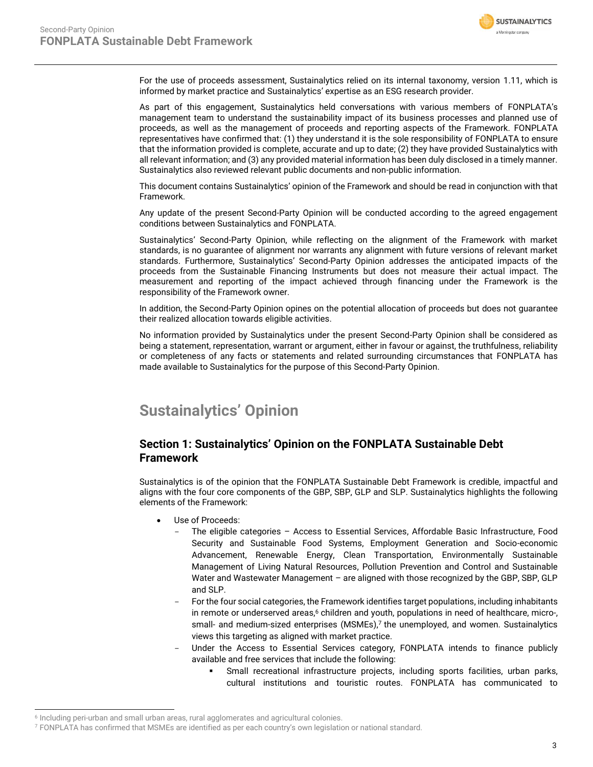

For the use of proceeds assessment, Sustainalytics relied on its internal taxonomy, version 1.11, which is informed by market practice and Sustainalytics' expertise as an ESG research provider.

As part of this engagement, Sustainalytics held conversations with various members of FONPLATA's management team to understand the sustainability impact of its business processes and planned use of proceeds, as well as the management of proceeds and reporting aspects of the Framework. FONPLATA representatives have confirmed that: (1) they understand it is the sole responsibility of FONPLATA to ensure that the information provided is complete, accurate and up to date; (2) they have provided Sustainalytics with all relevant information; and (3) any provided material information has been duly disclosed in a timely manner. Sustainalytics also reviewed relevant public documents and non-public information.

This document contains Sustainalytics' opinion of the Framework and should be read in conjunction with that Framework.

Any update of the present Second-Party Opinion will be conducted according to the agreed engagement conditions between Sustainalytics and FONPLATA.

Sustainalytics' Second-Party Opinion, while reflecting on the alignment of the Framework with market standards, is no guarantee of alignment nor warrants any alignment with future versions of relevant market standards. Furthermore, Sustainalytics' Second-Party Opinion addresses the anticipated impacts of the proceeds from the Sustainable Financing Instruments but does not measure their actual impact. The measurement and reporting of the impact achieved through financing under the Framework is the responsibility of the Framework owner.

In addition, the Second-Party Opinion opines on the potential allocation of proceeds but does not guarantee their realized allocation towards eligible activities.

No information provided by Sustainalytics under the present Second-Party Opinion shall be considered as being a statement, representation, warrant or argument, either in favour or against, the truthfulness, reliability or completeness of any facts or statements and related surrounding circumstances that FONPLATA has made available to Sustainalytics for the purpose of this Second-Party Opinion.

# <span id="page-2-0"></span>**Sustainalytics' Opinion**

## **Section 1: Sustainalytics' Opinion on the FONPLATA Sustainable Debt Framework**

Sustainalytics is of the opinion that the FONPLATA Sustainable Debt Framework is credible, impactful and aligns with the four core components of the GBP, SBP, GLP and SLP. Sustainalytics highlights the following elements of the Framework:

- Use of Proceeds:
	- The eligible categories Access to Essential Services, Affordable Basic Infrastructure, Food Security and Sustainable Food Systems, Employment Generation and Socio-economic Advancement, Renewable Energy, Clean Transportation, Environmentally Sustainable Management of Living Natural Resources, Pollution Prevention and Control and Sustainable Water and Wastewater Management – are aligned with those recognized by the GBP, SBP, GLP and SLP.
	- For the four social categories, the Framework identifies target populations, including inhabitants in remote or underserved areas,<sup>6</sup> children and youth, populations in need of healthcare, micro-, small- and medium-sized enterprises (MSMEs), <sup>7</sup> the unemployed, and women. Sustainalytics views this targeting as aligned with market practice.
	- Under the Access to Essential Services category, FONPLATA intends to finance publicly available and free services that include the following:
		- **·** Small recreational infrastructure projects, including sports facilities, urban parks, cultural institutions and touristic routes. FONPLATA has communicated to

<sup>6</sup> Including peri-urban and small urban areas, rural agglomerates and agricultural colonies.

<sup>7</sup> FONPLATA has confirmed that MSMEs are identified as per each country's own legislation or national standard.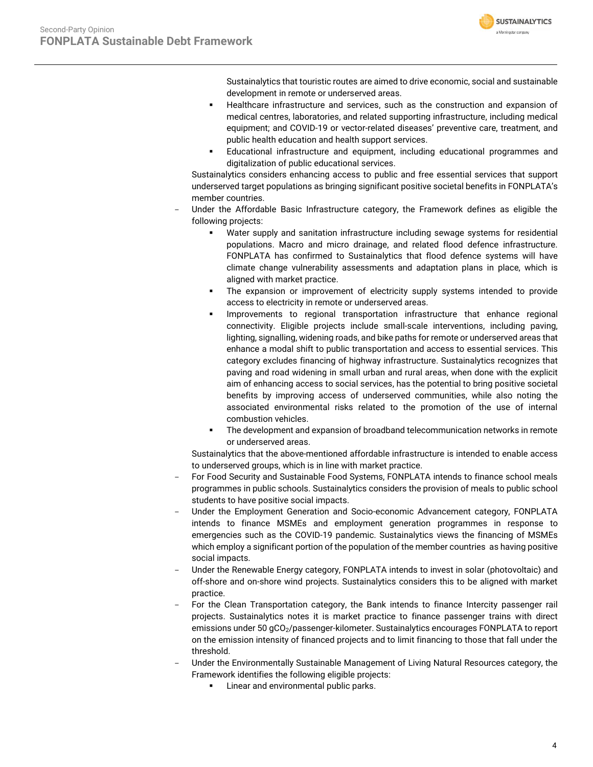Sustainalytics that touristic routes are aimed to drive economic, social and sustainable development in remote or underserved areas.

**SUSTAINALYTICS** a Morningstar company

- Healthcare infrastructure and services, such as the construction and expansion of medical centres, laboratories, and related supporting infrastructure, including medical equipment; and COVID-19 or vector-related diseases' preventive care, treatment, and public health education and health support services.
- Educational infrastructure and equipment, including educational programmes and digitalization of public educational services.

Sustainalytics considers enhancing access to public and free essential services that support underserved target populations as bringing significant positive societal benefits in FONPLATA's member countries.

- Under the Affordable Basic Infrastructure category, the Framework defines as eligible the following projects:
	- Water supply and sanitation infrastructure including sewage systems for residential populations. Macro and micro drainage, and related flood defence infrastructure. FONPLATA has confirmed to Sustainalytics that flood defence systems will have climate change vulnerability assessments and adaptation plans in place, which is aligned with market practice.
	- The expansion or improvement of electricity supply systems intended to provide access to electricity in remote or underserved areas.
	- Improvements to regional transportation infrastructure that enhance regional connectivity. Eligible projects include small-scale interventions, including paving, lighting, signalling, widening roads, and bike paths for remote or underserved areas that enhance a modal shift to public transportation and access to essential services. This category excludes financing of highway infrastructure. Sustainalytics recognizes that paving and road widening in small urban and rural areas, when done with the explicit aim of enhancing access to social services, has the potential to bring positive societal benefits by improving access of underserved communities, while also noting the associated environmental risks related to the promotion of the use of internal combustion vehicles.
	- **•** The development and expansion of broadband telecommunication networks in remote or underserved areas.

Sustainalytics that the above-mentioned affordable infrastructure is intended to enable access to underserved groups, which is in line with market practice.

- For Food Security and Sustainable Food Systems, FONPLATA intends to finance school meals programmes in public schools. Sustainalytics considers the provision of meals to public school students to have positive social impacts.
- Under the Employment Generation and Socio-economic Advancement category, FONPLATA intends to finance MSMEs and employment generation programmes in response to emergencies such as the COVID-19 pandemic. Sustainalytics views the financing of MSMEs which employ a significant portion of the population of the member countries as having positive social impacts.
- Under the Renewable Energy category, FONPLATA intends to invest in solar (photovoltaic) and off-shore and on-shore wind projects. Sustainalytics considers this to be aligned with market practice.
- For the Clean Transportation category, the Bank intends to finance Intercity passenger rail projects. Sustainalytics notes it is market practice to finance passenger trains with direct emissions under 50 gCO<sub>2</sub>/passenger-kilometer. Sustainalytics encourages FONPLATA to report on the emission intensity of financed projects and to limit financing to those that fall under the threshold.
- Under the Environmentally Sustainable Management of Living Natural Resources category, the Framework identifies the following eligible projects:
	- **■** Linear and environmental public parks.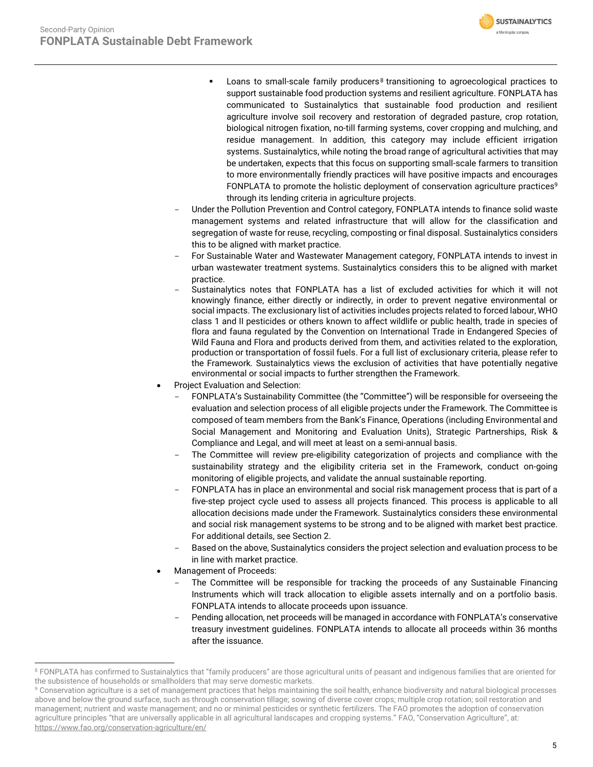

- Loans to small-scale family producers<sup>8</sup> transitioning to agroecological practices to support sustainable food production systems and resilient agriculture. FONPLATA has communicated to Sustainalytics that sustainable food production and resilient agriculture involve soil recovery and restoration of degraded pasture, crop rotation, biological nitrogen fixation, no-till farming systems, cover cropping and mulching, and residue management. In addition, this category may include efficient irrigation systems. Sustainalytics, while noting the broad range of agricultural activities that may be undertaken, expects that this focus on supporting small-scale farmers to transition to more environmentally friendly practices will have positive impacts and encourages FONPLATA to promote the holistic deployment of conservation agriculture practices<sup>9</sup> through its lending criteria in agriculture projects.
- Under the Pollution Prevention and Control category, FONPLATA intends to finance solid waste management systems and related infrastructure that will allow for the classification and segregation of waste for reuse, recycling, composting or final disposal. Sustainalytics considers this to be aligned with market practice.
- For Sustainable Water and Wastewater Management category, FONPLATA intends to invest in urban wastewater treatment systems. Sustainalytics considers this to be aligned with market practice.
- Sustainalytics notes that FONPLATA has a list of excluded activities for which it will not knowingly finance, either directly or indirectly, in order to prevent negative environmental or social impacts. The exclusionary list of activities includes projects related to forced labour, WHO class 1 and II pesticides or others known to affect wildlife or public health, trade in species of flora and fauna regulated by the Convention on International Trade in Endangered Species of Wild Fauna and Flora and products derived from them, and activities related to the exploration, production or transportation of fossil fuels. For a full list of exclusionary criteria, please refer to the Framework. Sustainalytics views the exclusion of activities that have potentially negative environmental or social impacts to further strengthen the Framework.
- Project Evaluation and Selection:
	- FONPLATA's Sustainability Committee (the "Committee") will be responsible for overseeing the evaluation and selection process of all eligible projects under the Framework. The Committee is composed of team members from the Bank's Finance, Operations (including Environmental and Social Management and Monitoring and Evaluation Units), Strategic Partnerships, Risk & Compliance and Legal, and will meet at least on a semi-annual basis.
	- The Committee will review pre-eligibility categorization of projects and compliance with the sustainability strategy and the eligibility criteria set in the Framework, conduct on-going monitoring of eligible projects, and validate the annual sustainable reporting.
	- FONPLATA has in place an environmental and social risk management process that is part of a five-step project cycle used to assess all projects financed. This process is applicable to all allocation decisions made under the Framework. Sustainalytics considers these environmental and social risk management systems to be strong and to be aligned with market best practice. For additional details, see Section 2.
	- Based on the above, Sustainalytics considers the project selection and evaluation process to be in line with market practice.
- Management of Proceeds:
	- The Committee will be responsible for tracking the proceeds of any Sustainable Financing Instruments which will track allocation to eligible assets internally and on a portfolio basis. FONPLATA intends to allocate proceeds upon issuance.
	- Pending allocation, net proceeds will be managed in accordance with FONPLATA's conservative treasury investment guidelines. FONPLATA intends to allocate all proceeds within 36 months after the issuance.

<sup>&</sup>lt;sup>8</sup> FONPLATA has confirmed to Sustainalytics that "family producers" are those agricultural units of peasant and indigenous families that are oriented for the subsistence of households or smallholders that may serve domestic markets.

<sup>9</sup> Conservation agriculture is a set of management practices that helps maintaining the soil health, enhance biodiversity and natural biological processes above and below the ground surface, such as through conservation tillage; sowing of diverse cover crops; multiple crop rotation; soil restoration and management; nutrient and waste management; and no or minimal pesticides or synthetic fertilizers. The FAO promotes the adoption of conservation agriculture principles "that are universally applicable in all agricultural landscapes and cropping systems." FAO, "Conservation Agriculture", at: <https://www.fao.org/conservation-agriculture/en/>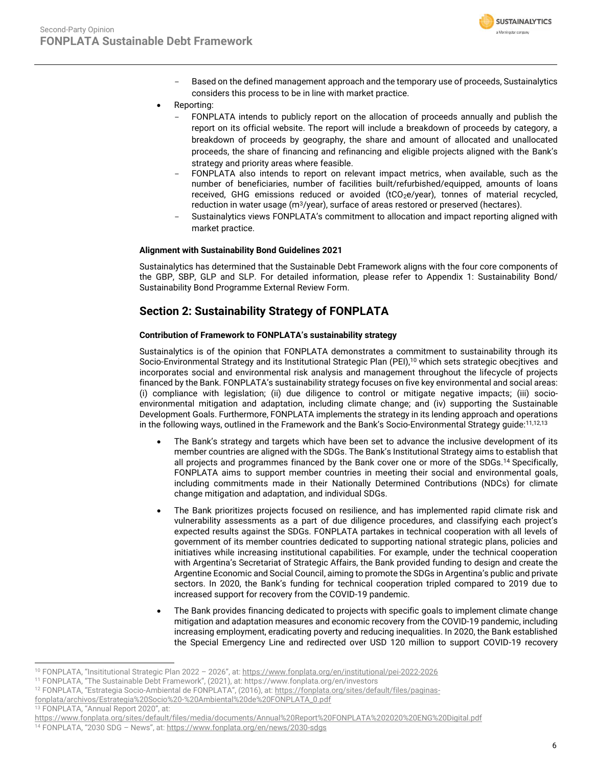

- Based on the defined management approach and the temporary use of proceeds, Sustainalytics considers this process to be in line with market practice.
- Reporting:
	- FONPLATA intends to publicly report on the allocation of proceeds annually and publish the report on its official website. The report will include a breakdown of proceeds by category, a breakdown of proceeds by geography, the share and amount of allocated and unallocated proceeds, the share of financing and refinancing and eligible projects aligned with the Bank's strategy and priority areas where feasible.
	- FONPLATA also intends to report on relevant impact metrics, when available, such as the number of beneficiaries, number of facilities built/refurbished/equipped, amounts of loans received, GHG emissions reduced or avoided  $(tCO<sub>2</sub>e/year)$ , tonnes of material recycled, reduction in water usage (m<sup>3</sup>/year), surface of areas restored or preserved (hectares).
	- Sustainalytics views FONPLATA's commitment to allocation and impact reporting aligned with market practice.

#### **Alignment with Sustainability Bond Guidelines 2021**

Sustainalytics has determined that the Sustainable Debt Framework aligns with the four core components of the GBP, SBP, GLP and SLP. For detailed information, please refer to Appendix 1: Sustainability Bond/ Sustainability Bond Programme External Review Form.

# **Section 2: Sustainability Strategy of FONPLATA**

#### **Contribution of Framework to FONPLATA's sustainability strategy**

Sustainalytics is of the opinion that FONPLATA demonstrates a commitment to sustainability through its Socio-Environmental Strategy and its Institutional Strategic Plan (PEI),<sup>10</sup> which sets strategic obecjtives and incorporates social and environmental risk analysis and management throughout the lifecycle of projects financed by the Bank. FONPLATA's sustainability strategy focuses on five key environmental and social areas: (i) compliance with legislation; (ii) due diligence to control or mitigate negative impacts; (iii) socioenvironmental mitigation and adaptation, including climate change; and (iv) supporting the Sustainable Development Goals. Furthermore, FONPLATA implements the strategy in its lending approach and operations in the following ways, outlined in the Framework and the Bank's Socio-Environmental Strategy quide:<sup>11,12,13</sup>

- The Bank's strategy and targets which have been set to advance the inclusive development of its member countries are aligned with the SDGs. The Bank's Institutional Strategy aims to establish that all projects and programmes financed by the Bank cover one or more of the SDGs.<sup>14</sup> Specifically, FONPLATA aims to support member countries in meeting their social and environmental goals, including commitments made in their Nationally Determined Contributions (NDCs) for climate change mitigation and adaptation, and individual SDGs.
- The Bank prioritizes projects focused on resilience, and has implemented rapid climate risk and vulnerability assessments as a part of due diligence procedures, and classifying each project's expected results against the SDGs. FONPLATA partakes in technical cooperation with all levels of government of its member countries dedicated to supporting national strategic plans, policies and initiatives while increasing institutional capabilities. For example, under the technical cooperation with Argentina's Secretariat of Strategic Affairs, the Bank provided funding to design and create the Argentine Economic and Social Council, aiming to promote the SDGs in Argentina's public and private sectors. In 2020, the Bank's funding for technical cooperation tripled compared to 2019 due to increased support for recovery from the COVID-19 pandemic.
- The Bank provides financing dedicated to projects with specific goals to implement climate change mitigation and adaptation measures and economic recovery from the COVID-19 pandemic, including increasing employment, eradicating poverty and reducing inequalities. In 2020, the Bank established the Special Emergency Line and redirected over USD 120 million to support COVID-19 recovery

13 FONPLATA, "Annual Report 2020", at:

<sup>10</sup> FONPLATA, "Insititutional Strategic Plan 2022 – 2026", at: <https://www.fonplata.org/en/institutional/pei-2022-2026>

<sup>11</sup> FONPLATA, "The Sustainable Debt Framework", (2021), at: https://www.fonplata.org/en/investors

<sup>12</sup> FONPLATA, "Estrategia Socio-Ambiental de FONPLATA", (2016), at: [https://fonplata.org/sites/default/files/paginas-](https://fonplata.org/sites/default/files/paginas-fonplata/archivos/Estrategia%20Socio%20-%20Ambiental%20de%20FONPLATA_0.pdf)

[fonplata/archivos/Estrategia%20Socio%20-%20Ambiental%20de%20FONPLATA\\_0.pdf](https://fonplata.org/sites/default/files/paginas-fonplata/archivos/Estrategia%20Socio%20-%20Ambiental%20de%20FONPLATA_0.pdf)

<https://www.fonplata.org/sites/default/files/media/documents/Annual%20Report%20FONPLATA%202020%20ENG%20Digital.pdf> <sup>14</sup> FONPLATA, "2030 SDG – News", at: <https://www.fonplata.org/en/news/2030-sdgs>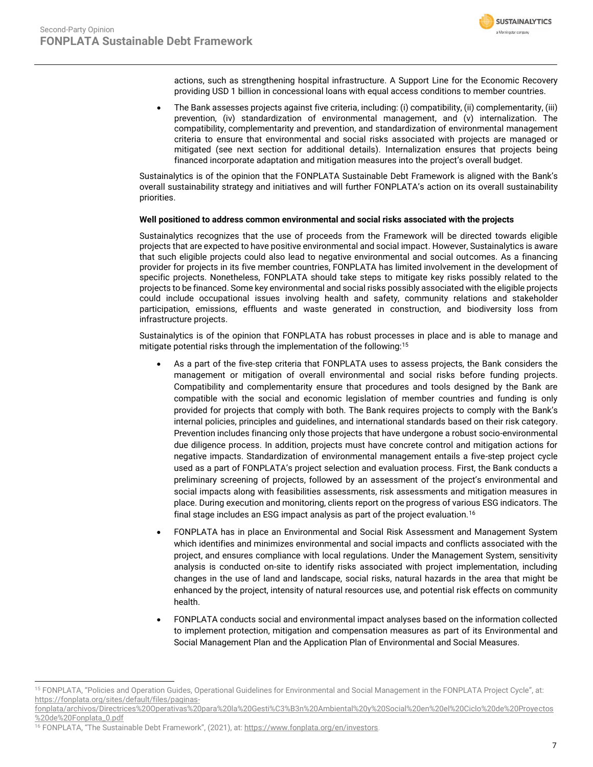

actions, such as strengthening hospital infrastructure. A Support Line for the Economic Recovery providing USD 1 billion in concessional loans with equal access conditions to member countries.

• The Bank assesses projects against five criteria, including: (i) compatibility, (ii) complementarity, (iii) prevention, (iv) standardization of environmental management, and (v) internalization. The compatibility, complementarity and prevention, and standardization of environmental management criteria to ensure that environmental and social risks associated with projects are managed or mitigated (see next section for additional details). Internalization ensures that projects being financed incorporate adaptation and mitigation measures into the project's overall budget.

Sustainalytics is of the opinion that the FONPLATA Sustainable Debt Framework is aligned with the Bank's overall sustainability strategy and initiatives and will further FONPLATA's action on its overall sustainability priorities.

#### **Well positioned to address common environmental and social risks associated with the projects**

Sustainalytics recognizes that the use of proceeds from the Framework will be directed towards eligible projects that are expected to have positive environmental and social impact. However, Sustainalytics is aware that such eligible projects could also lead to negative environmental and social outcomes. As a financing provider for projects in its five member countries, FONPLATA has limited involvement in the development of specific projects. Nonetheless, FONPLATA should take steps to mitigate key risks possibly related to the projects to be financed. Some key environmental and social risks possibly associated with the eligible projects could include occupational issues involving health and safety, community relations and stakeholder participation, emissions, effluents and waste generated in construction, and biodiversity loss from infrastructure projects.

Sustainalytics is of the opinion that FONPLATA has robust processes in place and is able to manage and mitigate potential risks through the implementation of the following:<sup>15</sup>

- As a part of the five-step criteria that FONPLATA uses to assess projects, the Bank considers the management or mitigation of overall environmental and social risks before funding projects. Compatibility and complementarity ensure that procedures and tools designed by the Bank are compatible with the social and economic legislation of member countries and funding is only provided for projects that comply with both. The Bank requires projects to comply with the Bank's internal policies, principles and guidelines, and international standards based on their risk category. Prevention includes financing only those projects that have undergone a robust socio-environmental due diligence process. In addition, projects must have concrete control and mitigation actions for negative impacts. Standardization of environmental management entails a five-step project cycle used as a part of FONPLATA's project selection and evaluation process. First, the Bank conducts a preliminary screening of projects, followed by an assessment of the project's environmental and social impacts along with feasibilities assessments, risk assessments and mitigation measures in place. During execution and monitoring, clients report on the progress of various ESG indicators. The final stage includes an ESG impact analysis as part of the project evaluation.<sup>16</sup>
- FONPLATA has in place an Environmental and Social Risk Assessment and Management System which identifies and minimizes environmental and social impacts and conflicts associated with the project, and ensures compliance with local regulations. Under the Management System, sensitivity analysis is conducted on-site to identify risks associated with project implementation, including changes in the use of land and landscape, social risks, natural hazards in the area that might be enhanced by the project, intensity of natural resources use, and potential risk effects on community health.
- FONPLATA conducts social and environmental impact analyses based on the information collected to implement protection, mitigation and compensation measures as part of its Environmental and Social Management Plan and the Application Plan of Environmental and Social Measures.

<sup>15</sup> FONPLATA, "Policies and Operation Guides, Operational Guidelines for Environmental and Social Management in the FONPLATA Project Cycle", at: [https://fonplata.org/sites/default/files/paginas-](https://fonplata.org/sites/default/files/paginas-fonplata/archivos/Directrices%20Operativas%20para%20la%20Gesti%C3%B3n%20Ambiental%20y%20Social%20en%20el%20Ciclo%20de%20Proyectos%20de%20Fonplata_0.pdf)

[fonplata/archivos/Directrices%20Operativas%20para%20la%20Gesti%C3%B3n%20Ambiental%20y%20Social%20en%20el%20Ciclo%20de%20Proyectos](https://fonplata.org/sites/default/files/paginas-fonplata/archivos/Directrices%20Operativas%20para%20la%20Gesti%C3%B3n%20Ambiental%20y%20Social%20en%20el%20Ciclo%20de%20Proyectos%20de%20Fonplata_0.pdf) [%20de%20Fonplata\\_0.pdf](https://fonplata.org/sites/default/files/paginas-fonplata/archivos/Directrices%20Operativas%20para%20la%20Gesti%C3%B3n%20Ambiental%20y%20Social%20en%20el%20Ciclo%20de%20Proyectos%20de%20Fonplata_0.pdf)

<sup>&</sup>lt;sup>16</sup> FONPLATA, "The Sustainable Debt Framework", (2021), at: [https://www.fonplata.org/en/investors.](https://www.fonplata.org/en/investors)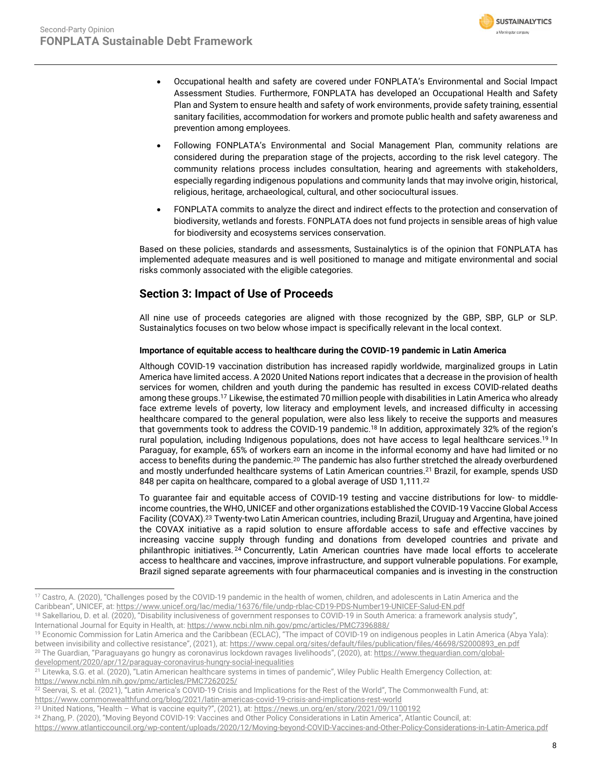

- Occupational health and safety are covered under FONPLATA's Environmental and Social Impact Assessment Studies. Furthermore, FONPLATA has developed an Occupational Health and Safety Plan and System to ensure health and safety of work environments, provide safety training, essential sanitary facilities, accommodation for workers and promote public health and safety awareness and prevention among employees.
- Following FONPLATA's Environmental and Social Management Plan, community relations are considered during the preparation stage of the projects, according to the risk level category. The community relations process includes consultation, hearing and agreements with stakeholders, especially regarding indigenous populations and community lands that may involve origin, historical, religious, heritage, archaeological, cultural, and other sociocultural issues.
- FONPLATA commits to analyze the direct and indirect effects to the protection and conservation of biodiversity, wetlands and forests. FONPLATA does not fund projects in sensible areas of high value for biodiversity and ecosystems services conservation.

Based on these policies, standards and assessments, Sustainalytics is of the opinion that FONPLATA has implemented adequate measures and is well positioned to manage and mitigate environmental and social risks commonly associated with the eligible categories.

# **Section 3: Impact of Use of Proceeds**

All nine use of proceeds categories are aligned with those recognized by the GBP, SBP, GLP or SLP. Sustainalytics focuses on two below whose impact is specifically relevant in the local context.

#### **Importance of equitable access to healthcare during the COVID-19 pandemic in Latin America**

Although COVID-19 vaccination distribution has increased rapidly worldwide, marginalized groups in Latin America have limited access. A 2020 United Nations report indicates that a decrease in the provision of health services for women, children and youth during the pandemic has resulted in excess COVID-related deaths among these groups.<sup>17</sup> Likewise, the estimated 70 million people with disabilities in Latin America who already face extreme levels of poverty, low literacy and employment levels, and increased difficulty in accessing healthcare compared to the general population, were also less likely to receive the supports and measures that governments took to address the COVID-19 pandemic. <sup>18</sup> In addition, approximately 32% of the region's rural population, including Indigenous populations, does not have access to legal healthcare services. <sup>19</sup> In Paraguay, for example, 65% of workers earn an income in the informal economy and have had limited or no access to benefits during the pandemic.<sup>20</sup> The pandemic has also further stretched the already overburdened and mostly underfunded healthcare systems of Latin American countries. <sup>21</sup> Brazil, for example, spends USD 848 per capita on healthcare, compared to a global average of USD 1,111.<sup>22</sup>

To guarantee fair and equitable access of COVID-19 testing and vaccine distributions for low- to middleincome countries, the WHO, UNICEF and other organizations established the COVID-19 Vaccine Global Access Facility (COVAX).<sup>23</sup> Twenty-two Latin American countries, including Brazil, Uruguay and Argentina, have joined the COVAX initiative as a rapid solution to ensure affordable access to safe and effective vaccines by increasing vaccine supply through funding and donations from developed countries and private and philanthropic initiatives.<sup>24</sup> Concurrently, Latin American countries have made local efforts to accelerate access to healthcare and vaccines, improve infrastructure, and support vulnerable populations. For example, Brazil signed separate agreements with four pharmaceutical companies and is investing in the construction

<sup>17</sup> Castro, A. (2020), "Challenges posed by the COVID-19 pandemic in the health of women, children, and adolescents in Latin America and the Caribbean", UNICEF, at: <https://www.unicef.org/lac/media/16376/file/undp-rblac-CD19-PDS-Number19-UNICEF-Salud-EN.pdf>

<sup>&</sup>lt;sup>18</sup> Sakellariou, D. et al. (2020), "Disability inclusiveness of government responses to COVID-19 in South America: a framework analysis study", International Journal for Equity in Health, at[: https://www.ncbi.nlm.nih.gov/pmc/articles/PMC7396888/](https://www.ncbi.nlm.nih.gov/pmc/articles/PMC7396888/)

<sup>&</sup>lt;sup>19</sup> Economic Commission for Latin America and the Caribbean (ECLAC), "The impact of COVID-19 on indigenous peoples in Latin America (Abya Yala):

between invisibility and collective resistance", (2021), at: [https://www.cepal.org/sites/default/files/publication/files/46698/S2000893\\_en.pdf](https://www.cepal.org/sites/default/files/publication/files/46698/S2000893_en.pdf) <sup>20</sup> The Guardian, "Paraguayans go hungry as coronavirus lockdown ravages livelihoods", (2020), at: [https://www.theguardian.com/global](https://www.theguardian.com/global-development/2020/apr/12/paraguay-coronavirus-hungry-social-inequalities)[development/2020/apr/12/paraguay-coronavirus-hungry-social-inequalities](https://www.theguardian.com/global-development/2020/apr/12/paraguay-coronavirus-hungry-social-inequalities)

<sup>&</sup>lt;sup>21</sup> Litewka, S.G. et al. (2020), "Latin American healthcare systems in times of pandemic", Wiley Public Health Emergency Collection, at: <https://www.ncbi.nlm.nih.gov/pmc/articles/PMC7262025/>

<sup>22</sup> Seervai, S. et al. (2021), "Latin America's COVID-19 Crisis and Implications for the Rest of the World", The Commonwealth Fund, at: <https://www.commonwealthfund.org/blog/2021/latin-americas-covid-19-crisis-and-implications-rest-world>

<sup>&</sup>lt;sup>23</sup> United Nations, "Health - What is vaccine equity?", (2021), at: <https://news.un.org/en/story/2021/09/1100192>

<sup>&</sup>lt;sup>24</sup> Zhang, P. (2020), "Moving Beyond COVID-19: Vaccines and Other Policy Considerations in Latin America", Atlantic Council, at:

<https://www.atlanticcouncil.org/wp-content/uploads/2020/12/Moving-beyond-COVID-Vaccines-and-Other-Policy-Considerations-in-Latin-America.pdf>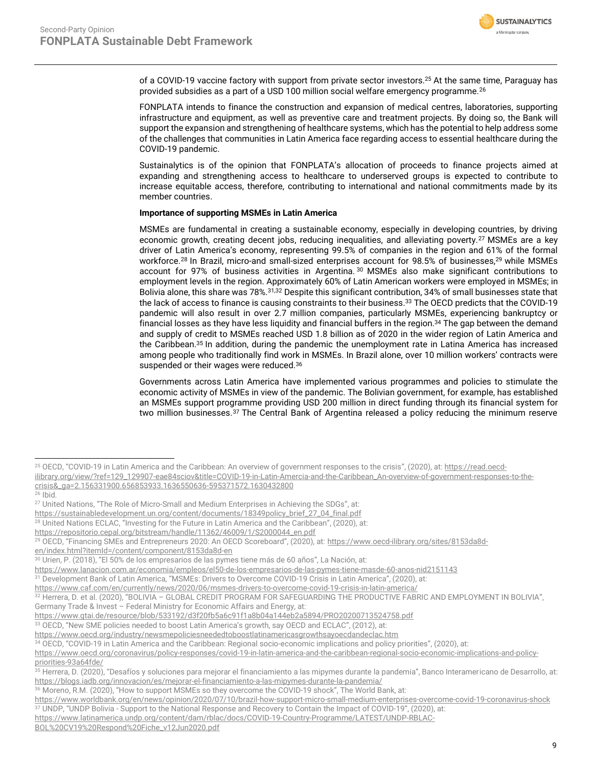

of a COVID-19 vaccine factory with support from private sector investors. <sup>25</sup> At the same time, Paraguay has provided subsidies as a part of a USD 100 million social welfare emergency programme.<sup>26</sup>

FONPLATA intends to finance the construction and expansion of medical centres, laboratories, supporting infrastructure and equipment, as well as preventive care and treatment projects. By doing so, the Bank will support the expansion and strengthening of healthcare systems, which has the potential to help address some of the challenges that communities in Latin America face regarding access to essential healthcare during the COVID-19 pandemic.

Sustainalytics is of the opinion that FONPLATA's allocation of proceeds to finance projects aimed at expanding and strengthening access to healthcare to underserved groups is expected to contribute to increase equitable access, therefore, contributing to international and national commitments made by its member countries.

#### **Importance of supporting MSMEs in Latin America**

MSMEs are fundamental in creating a sustainable economy, especially in developing countries, by driving economic growth, creating decent jobs, reducing inequalities, and alleviating poverty.<sup>27</sup> MSMEs are a key driver of Latin America's economy, representing 99.5% of companies in the region and 61% of the formal workforce.<sup>28</sup> In Brazil, micro-and small-sized enterprises account for 98.5% of businesses,<sup>29</sup> while MSMEs account for 97% of business activities in Argentina. <sup>30</sup> MSMEs also make significant contributions to employment levels in the region. Approximately 60% of Latin American workers were employed in MSMEs; in Bolivia alone, this share was 78%.<sup>31,32</sup> Despite this significant contribution, 34% of small businesses state that the lack of access to finance is causing constraints to their business.<sup>33</sup> The OECD predicts that the COVID-19 pandemic will also result in over 2.7 million companies, particularly MSMEs, experiencing bankruptcy or financial losses as they have less liquidity and financial buffers in the region.<sup>34</sup> The gap between the demand and supply of credit to MSMEs reached USD 1.8 billion as of 2020 in the wider region of Latin America and the Caribbean. <sup>35</sup> In addition, during the pandemic the unemployment rate in Latina America has increased among people who traditionally find work in MSMEs. In Brazil alone, over 10 million workers' contracts were suspended or their wages were reduced.<sup>36</sup>

Governments across Latin America have implemented various programmes and policies to stimulate the economic activity of MSMEs in view of the pandemic. The Bolivian government, for example, has established an MSMEs support programme providing USD 200 million in direct funding through its financial system for two million businesses.<sup>37</sup> The Central Bank of Argentina released a policy reducing the minimum reserve

- <sup>28</sup> United Nations ECLAC, "Investing for the Future in Latin America and the Caribbean", (2020), at:
- [https://repositorio.cepal.org/bitstream/handle/11362/46009/1/S2000044\\_en.pdf](https://repositorio.cepal.org/bitstream/handle/11362/46009/1/S2000044_en.pdf)

<sup>30</sup> Urien, P. (2018), "El 50% de los empresarios de las pymes tiene más de 60 años", La Nación, at:

<https://www.oecd.org/industry/newsmepoliciesneededtoboostlatinamericasgrowthsayoecdandeclac.htm>

<sup>25</sup> OECD, "COVID-19 in Latin America and the Caribbean: An overview of government responses to the crisis", (2020), at: [https://read.oecd-](https://read.oecd-ilibrary.org/view/?ref=129_129907-eae84sciov&title=COVID-19-in-Latin-Amercia-and-the-Caribbean_An-overview-of-government-responses-to-the-crisis&_ga=2.156331900.656853933.1636550636-595371572.1630432800)

[ilibrary.org/view/?ref=129\\_129907-eae84sciov&title=COVID-19-in-Latin-Amercia-and-the-Caribbean\\_An-overview-of-government-responses-to-the](https://read.oecd-ilibrary.org/view/?ref=129_129907-eae84sciov&title=COVID-19-in-Latin-Amercia-and-the-Caribbean_An-overview-of-government-responses-to-the-crisis&_ga=2.156331900.656853933.1636550636-595371572.1630432800)[crisis&\\_ga=2.156331900.656853933.1636550636-595371572.1630432800](https://read.oecd-ilibrary.org/view/?ref=129_129907-eae84sciov&title=COVID-19-in-Latin-Amercia-and-the-Caribbean_An-overview-of-government-responses-to-the-crisis&_ga=2.156331900.656853933.1636550636-595371572.1630432800)

<sup>26</sup> Ibid.

<sup>27</sup> United Nations, "The Role of Micro-Small and Medium Enterprises in Achieving the SDGs", at:

[https://sustainabledevelopment.un.org/content/documents/18349policy\\_brief\\_27\\_04\\_final.pdf](https://sustainabledevelopment.un.org/content/documents/18349policy_brief_27_04_final.pdf)

<sup>29</sup> OECD, "Financing SMEs and Entrepreneurs 2020: An OECD Scoreboard", (2020), at: [https://www.oecd-ilibrary.org/sites/8153da8d](https://www.oecd-ilibrary.org/sites/8153da8d-en/index.html?itemId=/content/component/8153da8d-en)[en/index.html?itemId=/content/component/8153da8d-en](https://www.oecd-ilibrary.org/sites/8153da8d-en/index.html?itemId=/content/component/8153da8d-en)

<https://www.lanacion.com.ar/economia/empleos/el50-de-los-empresarios-de-las-pymes-tiene-masde-60-anos-nid2151143>

Development Bank of Latin America, "MSMEs: Drivers to Overcome COVID-19 Crisis in Latin America", (2020), at:

<https://www.caf.com/en/currently/news/2020/06/msmes-drivers-to-overcome-covid-19-crisis-in-latin-america/>

<sup>32</sup> Herrera, D. et al. (2020), "BOLIVIA - GLOBAL CREDIT PROGRAM FOR SAFEGUARDING THE PRODUCTIVE FABRIC AND EMPLOYMENT IN BOLIVIA", Germany Trade & Invest – Federal Ministry for Economic Affairs and Energy, at:

<https://www.gtai.de/resource/blob/533192/d3f20fb5a6c91f1a8b04a144eb2a5894/PRO20200713524758.pdf>

<sup>33</sup> OECD, "New SME policies needed to boost Latin America's growth, say OECD and ECLAC", (2012), at:

<sup>34</sup> OECD, "COVID-19 in Latin America and the Caribbean: Regional socio-economic implications and policy priorities", (2020), at:

[https://www.oecd.org/coronavirus/policy-responses/covid-19-in-latin-america-and-the-caribbean-regional-socio-economic-implications-and-policy](https://www.oecd.org/coronavirus/policy-responses/covid-19-in-latin-america-and-the-caribbean-regional-socio-economic-implications-and-policy-priorities-93a64fde/)[priorities-93a64fde/](https://www.oecd.org/coronavirus/policy-responses/covid-19-in-latin-america-and-the-caribbean-regional-socio-economic-implications-and-policy-priorities-93a64fde/)

<sup>&</sup>lt;sup>35</sup> Herrera, D. (2020), "Desafíos y soluciones para mejorar el financiamiento a las mipymes durante la pandemia", Banco Interamericano de Desarrollo, at: <https://blogs.iadb.org/innovacion/es/mejorar-el-financiamiento-a-las-mipymes-durante-la-pandemia/>

<sup>36</sup> Moreno, R.M. (2020), "How to support MSMEs so they overcome the COVID-19 shock", The World Bank, at:

<https://www.worldbank.org/en/news/opinion/2020/07/10/brazil-how-support-micro-small-medium-enterprises-overcome-covid-19-coronavirus-shock>

<sup>37</sup> UNDP, "UNDP Bolivia - Support to the National Response and Recovery to Contain the Impact of COVID-19", (2020), at:

[https://www.latinamerica.undp.org/content/dam/rblac/docs/COVID-19-Country-Programme/LATEST/UNDP-RBLAC-](https://www.latinamerica.undp.org/content/dam/rblac/docs/COVID-19-Country-Programme/LATEST/UNDP-RBLAC-BOL%20CV19%20Respond%20Fiche_v12Jun2020.pdf)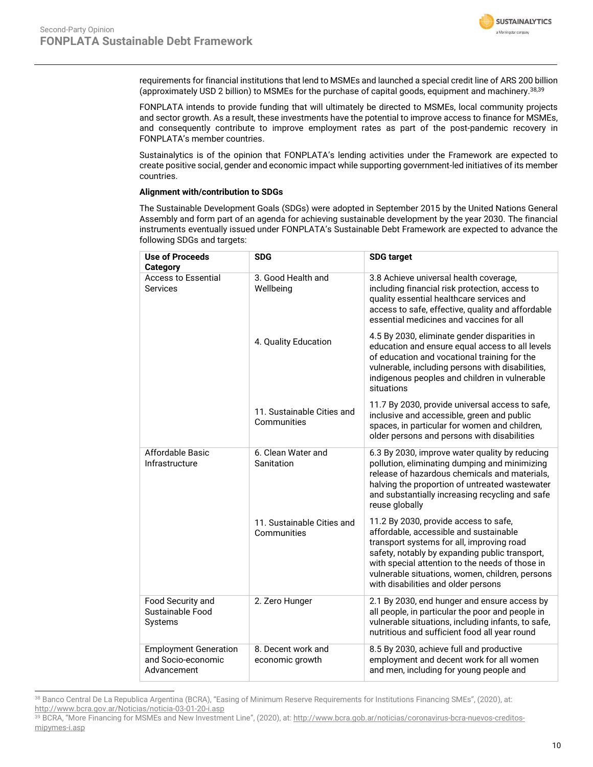

requirements for financial institutions that lend to MSMEs and launched a special credit line of ARS 200 billion (approximately USD 2 billion) to MSMEs for the purchase of capital goods, equipment and machinery. 38,39

FONPLATA intends to provide funding that will ultimately be directed to MSMEs, local community projects and sector growth. As a result, these investments have the potential to improve access to finance for MSMEs, and consequently contribute to improve employment rates as part of the post-pandemic recovery in FONPLATA's member countries.

Sustainalytics is of the opinion that FONPLATA's lending activities under the Framework are expected to create positive social, gender and economic impact while supporting government-led initiatives of its member countries.

#### **Alignment with/contribution to SDGs**

The Sustainable Development Goals (SDGs) were adopted in September 2015 by the United Nations General Assembly and form part of an agenda for achieving sustainable development by the year 2030. The financial instruments eventually issued under FONPLATA's Sustainable Debt Framework are expected to advance the following SDGs and targets:

| <b>Use of Proceeds</b><br><b>Category</b>                         | <b>SDG</b>                                | <b>SDG target</b>                                                                                                                                                                                                                                                                                                           |  |  |
|-------------------------------------------------------------------|-------------------------------------------|-----------------------------------------------------------------------------------------------------------------------------------------------------------------------------------------------------------------------------------------------------------------------------------------------------------------------------|--|--|
| <b>Access to Essential</b><br>Services                            | 3. Good Health and<br>Wellbeing           | 3.8 Achieve universal health coverage,<br>including financial risk protection, access to<br>quality essential healthcare services and<br>access to safe, effective, quality and affordable<br>essential medicines and vaccines for all                                                                                      |  |  |
|                                                                   | 4. Quality Education                      | 4.5 By 2030, eliminate gender disparities in<br>education and ensure equal access to all levels<br>of education and vocational training for the<br>vulnerable, including persons with disabilities,<br>indigenous peoples and children in vulnerable<br>situations                                                          |  |  |
|                                                                   | 11. Sustainable Cities and<br>Communities | 11.7 By 2030, provide universal access to safe,<br>inclusive and accessible, green and public<br>spaces, in particular for women and children,<br>older persons and persons with disabilities                                                                                                                               |  |  |
| Affordable Basic<br>Infrastructure                                | 6. Clean Water and<br>Sanitation          | 6.3 By 2030, improve water quality by reducing<br>pollution, eliminating dumping and minimizing<br>release of hazardous chemicals and materials,<br>halving the proportion of untreated wastewater<br>and substantially increasing recycling and safe<br>reuse globally                                                     |  |  |
|                                                                   | 11. Sustainable Cities and<br>Communities | 11.2 By 2030, provide access to safe,<br>affordable, accessible and sustainable<br>transport systems for all, improving road<br>safety, notably by expanding public transport,<br>with special attention to the needs of those in<br>vulnerable situations, women, children, persons<br>with disabilities and older persons |  |  |
| Food Security and<br>Sustainable Food<br>Systems                  | 2. Zero Hunger                            | 2.1 By 2030, end hunger and ensure access by<br>all people, in particular the poor and people in<br>vulnerable situations, including infants, to safe,<br>nutritious and sufficient food all year round                                                                                                                     |  |  |
| <b>Employment Generation</b><br>and Socio-economic<br>Advancement | 8. Decent work and<br>economic growth     | 8.5 By 2030, achieve full and productive<br>employment and decent work for all women<br>and men, including for young people and                                                                                                                                                                                             |  |  |

<sup>38</sup> Banco Central De La Republica Argentina (BCRA), "Easing of Minimum Reserve Requirements for Institutions Financing SMEs", (2020), at: <http://www.bcra.gov.ar/Noticias/noticia-03-01-20-i.asp>

<sup>39</sup> BCRA, "More Financing for MSMEs and New Investment Line", (2020), at: [http://www.bcra.gob.ar/noticias/coronavirus-bcra-nuevos-creditos](http://www.bcra.gob.ar/noticias/coronavirus-bcra-nuevos-creditos-mipymes-i.asp)[mipymes-i.asp](http://www.bcra.gob.ar/noticias/coronavirus-bcra-nuevos-creditos-mipymes-i.asp)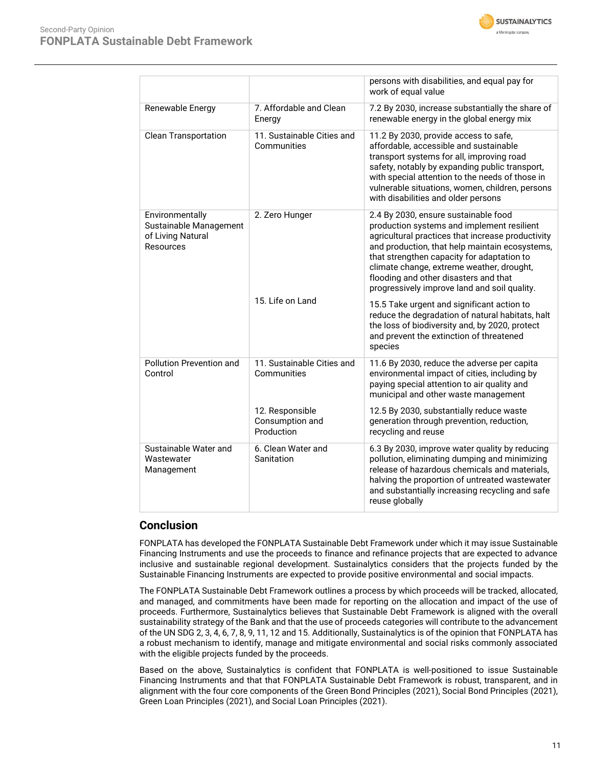

|                                                                             |                                                  | persons with disabilities, and equal pay for<br>work of equal value                                                                                                                                                                                                                                                                                                           |  |  |
|-----------------------------------------------------------------------------|--------------------------------------------------|-------------------------------------------------------------------------------------------------------------------------------------------------------------------------------------------------------------------------------------------------------------------------------------------------------------------------------------------------------------------------------|--|--|
| Renewable Energy                                                            | 7. Affordable and Clean<br>Energy                | 7.2 By 2030, increase substantially the share of<br>renewable energy in the global energy mix                                                                                                                                                                                                                                                                                 |  |  |
| <b>Clean Transportation</b>                                                 | 11. Sustainable Cities and<br>Communities        | 11.2 By 2030, provide access to safe,<br>affordable, accessible and sustainable<br>transport systems for all, improving road<br>safety, notably by expanding public transport,<br>with special attention to the needs of those in<br>vulnerable situations, women, children, persons<br>with disabilities and older persons                                                   |  |  |
| Environmentally<br>Sustainable Management<br>of Living Natural<br>Resources | 2. Zero Hunger                                   | 2.4 By 2030, ensure sustainable food<br>production systems and implement resilient<br>agricultural practices that increase productivity<br>and production, that help maintain ecosystems,<br>that strengthen capacity for adaptation to<br>climate change, extreme weather, drought,<br>flooding and other disasters and that<br>progressively improve land and soil quality. |  |  |
|                                                                             | 15. Life on Land                                 | 15.5 Take urgent and significant action to<br>reduce the degradation of natural habitats, halt<br>the loss of biodiversity and, by 2020, protect<br>and prevent the extinction of threatened<br>species                                                                                                                                                                       |  |  |
| Pollution Prevention and<br>Control                                         | 11. Sustainable Cities and<br>Communities        | 11.6 By 2030, reduce the adverse per capita<br>environmental impact of cities, including by<br>paying special attention to air quality and<br>municipal and other waste management                                                                                                                                                                                            |  |  |
|                                                                             | 12. Responsible<br>Consumption and<br>Production | 12.5 By 2030, substantially reduce waste<br>generation through prevention, reduction,<br>recycling and reuse                                                                                                                                                                                                                                                                  |  |  |
| Sustainable Water and<br>Wastewater<br>Management                           | 6. Clean Water and<br>Sanitation                 | 6.3 By 2030, improve water quality by reducing<br>pollution, eliminating dumping and minimizing<br>release of hazardous chemicals and materials,<br>halving the proportion of untreated wastewater<br>and substantially increasing recycling and safe<br>reuse globally                                                                                                       |  |  |

## **Conclusion**

FONPLATA has developed the FONPLATA Sustainable Debt Framework under which it may issue Sustainable Financing Instruments and use the proceeds to finance and refinance projects that are expected to advance inclusive and sustainable regional development. Sustainalytics considers that the projects funded by the Sustainable Financing Instruments are expected to provide positive environmental and social impacts.

The FONPLATA Sustainable Debt Framework outlines a process by which proceeds will be tracked, allocated, and managed, and commitments have been made for reporting on the allocation and impact of the use of proceeds. Furthermore, Sustainalytics believes that Sustainable Debt Framework is aligned with the overall sustainability strategy of the Bank and that the use of proceeds categories will contribute to the advancement of the UN SDG 2, 3, 4, 6, 7, 8, 9, 11, 12 and 15. Additionally, Sustainalytics is of the opinion that FONPLATA has a robust mechanism to identify, manage and mitigate environmental and social risks commonly associated with the eligible projects funded by the proceeds.

<span id="page-10-0"></span>Based on the above, Sustainalytics is confident that FONPLATA is well-positioned to issue Sustainable Financing Instruments and that that FONPLATA Sustainable Debt Framework is robust, transparent, and in alignment with the four core components of the Green Bond Principles (2021), Social Bond Principles (2021), Green Loan Principles (2021), and Social Loan Principles (2021).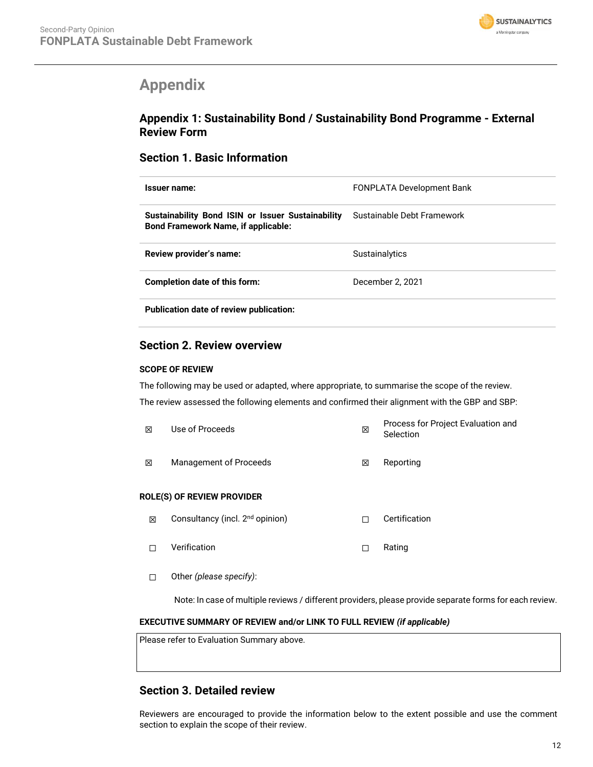

# **Appendix**

# **Appendix 1: Sustainability Bond / Sustainability Bond Programme - External Review Form**

## **Section 1. Basic Information**

| Issuer name:                                                                                    | <b>FONPLATA Development Bank</b> |
|-------------------------------------------------------------------------------------------------|----------------------------------|
| Sustainability Bond ISIN or Issuer Sustainability<br><b>Bond Framework Name, if applicable:</b> | Sustainable Debt Framework       |
| Review provider's name:                                                                         | <b>Sustainalytics</b>            |
| Completion date of this form:                                                                   | December 2, 2021                 |
| <b>Publication date of review publication:</b>                                                  |                                  |

## **Section 2. Review overview**

#### **SCOPE OF REVIEW**

The following may be used or adapted, where appropriate, to summarise the scope of the review. The review assessed the following elements and confirmed their alignment with the GBP and SBP:

| ⊠ | Use of Proceeds                             | 区 | Process for Project Evaluation and<br>Selection |
|---|---------------------------------------------|---|-------------------------------------------------|
| 冈 | <b>Management of Proceeds</b>               | X | Reporting                                       |
|   | <b>ROLE(S) OF REVIEW PROVIDER</b>           |   |                                                 |
| 罓 | Consultancy (incl. 2 <sup>nd</sup> oninion) | п | Certification                                   |

- ⊠ Consultancy (incl. 2<sup>nd</sup> opinion) □ Certification
- ☐ Verification ☐ Rating
- ☐ Other *(please specify)*:

Note: In case of multiple reviews / different providers, please provide separate forms for each review.

#### **EXECUTIVE SUMMARY OF REVIEW and/or LINK TO FULL REVIEW** *(if applicable)*

| Please refer to Evaluation Summary above. |  |  |
|-------------------------------------------|--|--|
|                                           |  |  |
|                                           |  |  |

# **Section 3. Detailed review**

Reviewers are encouraged to provide the information below to the extent possible and use the comment section to explain the scope of their review.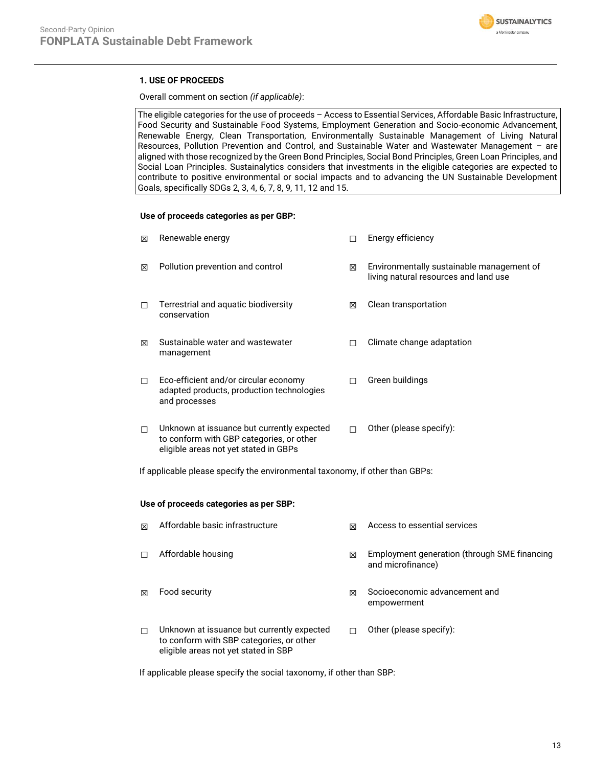

### **1. USE OF PROCEEDS**

Overall comment on section *(if applicable)*:

The eligible categories for the use of proceeds – Access to Essential Services, Affordable Basic Infrastructure, Food Security and Sustainable Food Systems, Employment Generation and Socio-economic Advancement, Renewable Energy, Clean Transportation, Environmentally Sustainable Management of Living Natural Resources, Pollution Prevention and Control, and Sustainable Water and Wastewater Management – are aligned with those recognized by the Green Bond Principles, Social Bond Principles, Green Loan Principles, and Social Loan Principles. Sustainalytics considers that investments in the eligible categories are expected to contribute to positive environmental or social impacts and to advancing the UN Sustainable Development Goals, specifically SDGs 2, 3, 4, 6, 7, 8, 9, 11, 12 and 15.

#### **Use of proceeds categories as per GBP:**

| ⊠ | Renewable energy                                                                                                                | п | Energy efficiency                                                                  |
|---|---------------------------------------------------------------------------------------------------------------------------------|---|------------------------------------------------------------------------------------|
| ⊠ | Pollution prevention and control                                                                                                | 冈 | Environmentally sustainable management of<br>living natural resources and land use |
| П | Terrestrial and aquatic biodiversity<br>conservation                                                                            | ⊠ | Clean transportation                                                               |
| ⊠ | Sustainable water and wastewater<br>management                                                                                  |   | Climate change adaptation                                                          |
| П | Eco-efficient and/or circular economy<br>adapted products, production technologies<br>and processes                             | П | Green buildings                                                                    |
| п | Unknown at issuance but currently expected<br>to conform with GBP categories, or other<br>eligible areas not yet stated in GBPs | п | Other (please specify):                                                            |

If applicable please specify the environmental taxonomy, if other than GBPs:

#### **Use of proceeds categories as per SBP:**

| ⊠ | Affordable basic infrastructure                                                                                                | ⊠ | Access to essential services                                      |
|---|--------------------------------------------------------------------------------------------------------------------------------|---|-------------------------------------------------------------------|
| П | Affordable housing                                                                                                             | X | Employment generation (through SME financing<br>and microfinance) |
| ⊠ | Food security                                                                                                                  | ⊠ | Socioeconomic advancement and<br>empowerment                      |
| П | Unknown at issuance but currently expected<br>to conform with SBP categories, or other<br>eligible areas not yet stated in SBP |   | Other (please specify):                                           |

If applicable please specify the social taxonomy, if other than SBP: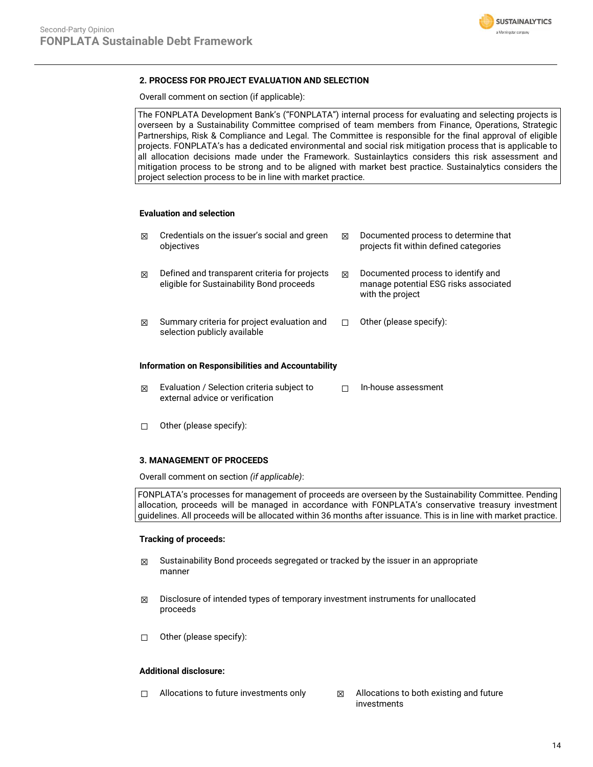

#### **2. PROCESS FOR PROJECT EVALUATION AND SELECTION**

Overall comment on section (if applicable):

The FONPLATA Development Bank's ("FONPLATA") internal process for evaluating and selecting projects is overseen by a Sustainability Committee comprised of team members from Finance, Operations, Strategic Partnerships, Risk & Compliance and Legal. The Committee is responsible for the final approval of eligible projects. FONPLATA's has a dedicated environmental and social risk mitigation process that is applicable to all allocation decisions made under the Framework. Sustainlaytics considers this risk assessment and mitigation process to be strong and to be aligned with market best practice. Sustainalytics considers the project selection process to be in line with market practice.

#### **Evaluation and selection**

| ⊠                                                  | Credentials on the issuer's social and green<br>objectives                                 | ⊠ | Documented process to determine that<br>projects fit within defined categories                  |  |  |
|----------------------------------------------------|--------------------------------------------------------------------------------------------|---|-------------------------------------------------------------------------------------------------|--|--|
| ⊠                                                  | Defined and transparent criteria for projects<br>eligible for Sustainability Bond proceeds | ⊠ | Documented process to identify and<br>manage potential ESG risks associated<br>with the project |  |  |
| ⊠                                                  | Summary criteria for project evaluation and<br>selection publicly available                |   | Other (please specify):                                                                         |  |  |
| Information on Responsibilities and Accountability |                                                                                            |   |                                                                                                 |  |  |

- ☒ Evaluation / Selection criteria subject to external advice or verification ☐ In-house assessment
- ☐ Other (please specify):

#### **3. MANAGEMENT OF PROCEEDS**

Overall comment on section *(if applicable)*:

FONPLATA's processes for management of proceeds are overseen by the Sustainability Committee. Pending allocation, proceeds will be managed in accordance with FONPLATA's conservative treasury investment guidelines. All proceeds will be allocated within 36 months after issuance. This is in line with market practice.

#### **Tracking of proceeds:**

- $\boxtimes$  Sustainability Bond proceeds segregated or tracked by the issuer in an appropriate manner
- $\boxtimes$  Disclosure of intended types of temporary investment instruments for unallocated proceeds
- ☐ Other (please specify):

#### **Additional disclosure:**

- ☐ Allocations to future investments only ☒ Allocations to both existing and future
	- investments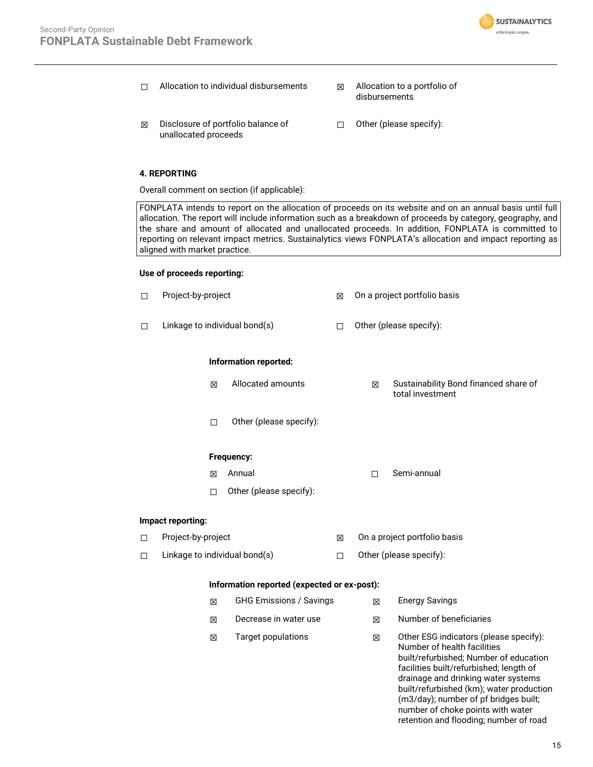

- ☐ Allocation to individual disbursements ☒ Allocation to a portfolio of
	- disbursements<sup>'</sup>
	- ☒ Disclosure of portfolio balance of unallocated proceeds
- ☐ Other (please specify):

#### **4. REPORTING**

Overall comment on section (if applicable):

FONPLATA intends to report on the allocation of proceeds on its website and on an annual basis until full allocation. The report will include information such as a breakdown of proceeds by category, geography, and the share and amount of allocated and unallocated proceeds. In addition, FONPLATA is committed to reporting on relevant impact metrics. Sustainalytics views FONPLATA's allocation and impact reporting as aligned with market practice.

#### **Use of proceeds reporting:**

| □ | Project-by-project            |   |                                             | 図      |                              | On a project portfolio basis                                                                                                                                                                                                                                                                                                                                          |
|---|-------------------------------|---|---------------------------------------------|--------|------------------------------|-----------------------------------------------------------------------------------------------------------------------------------------------------------------------------------------------------------------------------------------------------------------------------------------------------------------------------------------------------------------------|
| □ | Linkage to individual bond(s) |   |                                             | $\Box$ |                              | Other (please specify):                                                                                                                                                                                                                                                                                                                                               |
|   |                               |   | Information reported:                       |        |                              |                                                                                                                                                                                                                                                                                                                                                                       |
|   |                               | 区 | Allocated amounts                           |        | X                            | Sustainability Bond financed share of<br>total investment                                                                                                                                                                                                                                                                                                             |
|   |                               | П | Other (please specify):                     |        |                              |                                                                                                                                                                                                                                                                                                                                                                       |
|   |                               |   | Frequency:                                  |        |                              |                                                                                                                                                                                                                                                                                                                                                                       |
|   |                               | ⊠ | Annual                                      |        | П                            | Semi-annual                                                                                                                                                                                                                                                                                                                                                           |
|   |                               | П | Other (please specify):                     |        |                              |                                                                                                                                                                                                                                                                                                                                                                       |
|   | Impact reporting:             |   |                                             |        |                              |                                                                                                                                                                                                                                                                                                                                                                       |
| □ | Project-by-project            |   |                                             | X      | On a project portfolio basis |                                                                                                                                                                                                                                                                                                                                                                       |
| □ | Linkage to individual bond(s) |   |                                             | $\Box$ |                              | Other (please specify):                                                                                                                                                                                                                                                                                                                                               |
|   |                               |   | Information reported (expected or ex-post): |        |                              |                                                                                                                                                                                                                                                                                                                                                                       |
|   |                               | ⊠ | <b>GHG Emissions / Savings</b>              |        | X                            | <b>Energy Savings</b>                                                                                                                                                                                                                                                                                                                                                 |
|   |                               | 冈 | Decrease in water use                       |        | 冈                            | Number of beneficiaries                                                                                                                                                                                                                                                                                                                                               |
|   |                               | ⊠ | <b>Target populations</b>                   |        | X                            | Other ESG indicators (please specify):<br>Number of health facilities<br>built/refurbished; Number of education<br>facilities built/refurbished; length of<br>drainage and drinking water systems<br>built/refurbished (km); water production<br>(m3/day); number of pf bridges built;<br>number of choke points with water<br>retention and flooding; number of road |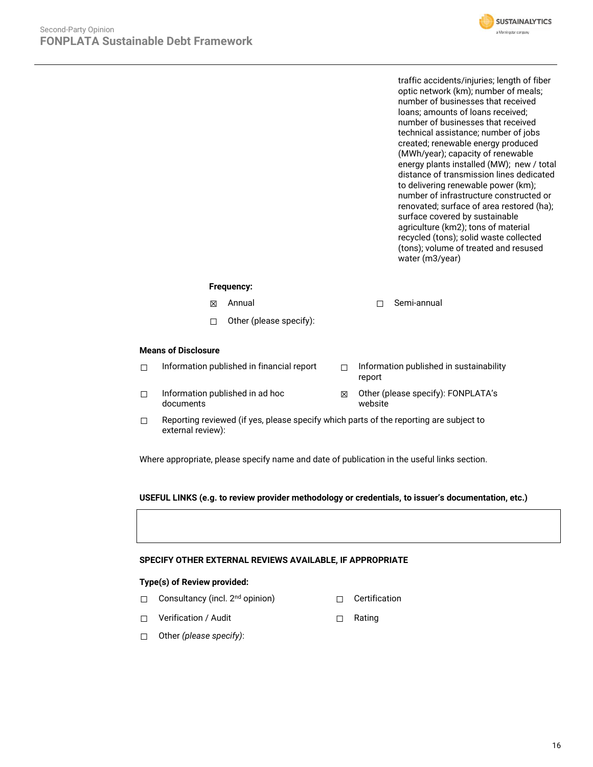

traffic accidents/injuries; length of fiber optic network (km); number of meals; number of businesses that received loans; amounts of loans received; number of businesses that received technical assistance; number of jobs created; renewable energy produced (MWh/year); capacity of renewable energy plants installed (MW); new / total distance of transmission lines dedicated to delivering renewable power (km); number of infrastructure constructed or renovated; surface of area restored (ha); surface covered by sustainable agriculture (km2); tons of material recycled (tons); solid waste collected (tons); volume of treated and resused water (m3/year)

#### **Frequency:**

- ☒ Annual ☐ Semi-annual
- ☐ Other (please specify):

#### **Means of Disclosure**

- ☐ Information published in financial report ☐ Information published in sustainability
- ☐ Information published in ad hoc documents
- report
- ☒ Other (please specify): FONPLATA's website
- $\Box$  Reporting reviewed (if yes, please specify which parts of the reporting are subject to external review):

Where appropriate, please specify name and date of publication in the useful links section.

#### **USEFUL LINKS (e.g. to review provider methodology or credentials, to issuer's documentation, etc.)**

#### **SPECIFY OTHER EXTERNAL REVIEWS AVAILABLE, IF APPROPRIATE**

#### **Type(s) of Review provided:**

- □ Consultancy (incl. 2<sup>nd</sup> opinion) □ □ Certification
- ☐ Verification / Audit ☐ Rating
- 
- ☐ Other *(please specify)*: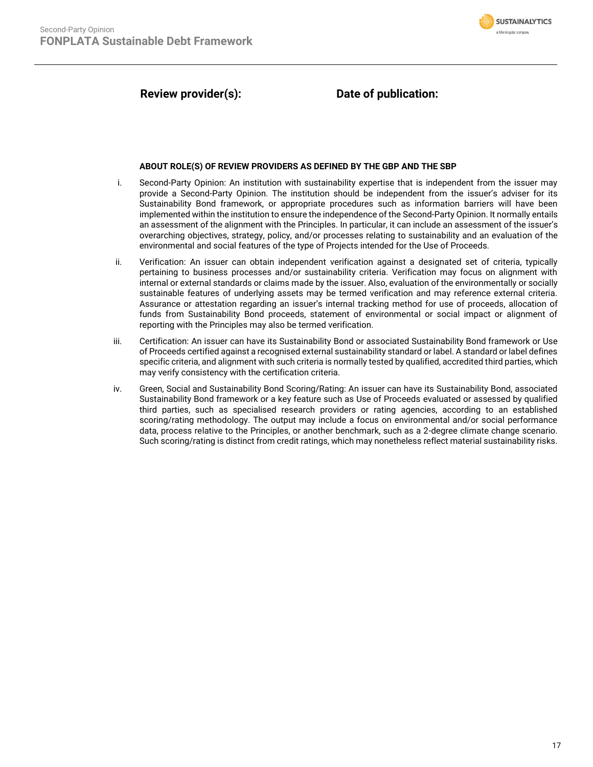

# **Review provider(s): Date of publication:**

#### **ABOUT ROLE(S) OF REVIEW PROVIDERS AS DEFINED BY THE GBP AND THE SBP**

- i. Second-Party Opinion: An institution with sustainability expertise that is independent from the issuer may provide a Second-Party Opinion. The institution should be independent from the issuer's adviser for its Sustainability Bond framework, or appropriate procedures such as information barriers will have been implemented within the institution to ensure the independence of the Second-Party Opinion. It normally entails an assessment of the alignment with the Principles. In particular, it can include an assessment of the issuer's overarching objectives, strategy, policy, and/or processes relating to sustainability and an evaluation of the environmental and social features of the type of Projects intended for the Use of Proceeds.
- ii. Verification: An issuer can obtain independent verification against a designated set of criteria, typically pertaining to business processes and/or sustainability criteria. Verification may focus on alignment with internal or external standards or claims made by the issuer. Also, evaluation of the environmentally or socially sustainable features of underlying assets may be termed verification and may reference external criteria. Assurance or attestation regarding an issuer's internal tracking method for use of proceeds, allocation of funds from Sustainability Bond proceeds, statement of environmental or social impact or alignment of reporting with the Principles may also be termed verification.
- iii. Certification: An issuer can have its Sustainability Bond or associated Sustainability Bond framework or Use of Proceeds certified against a recognised external sustainability standard or label. A standard or label defines specific criteria, and alignment with such criteria is normally tested by qualified, accredited third parties, which may verify consistency with the certification criteria.
- iv. Green, Social and Sustainability Bond Scoring/Rating: An issuer can have its Sustainability Bond, associated Sustainability Bond framework or a key feature such as Use of Proceeds evaluated or assessed by qualified third parties, such as specialised research providers or rating agencies, according to an established scoring/rating methodology. The output may include a focus on environmental and/or social performance data, process relative to the Principles, or another benchmark, such as a 2-degree climate change scenario. Such scoring/rating is distinct from credit ratings, which may nonetheless reflect material sustainability risks.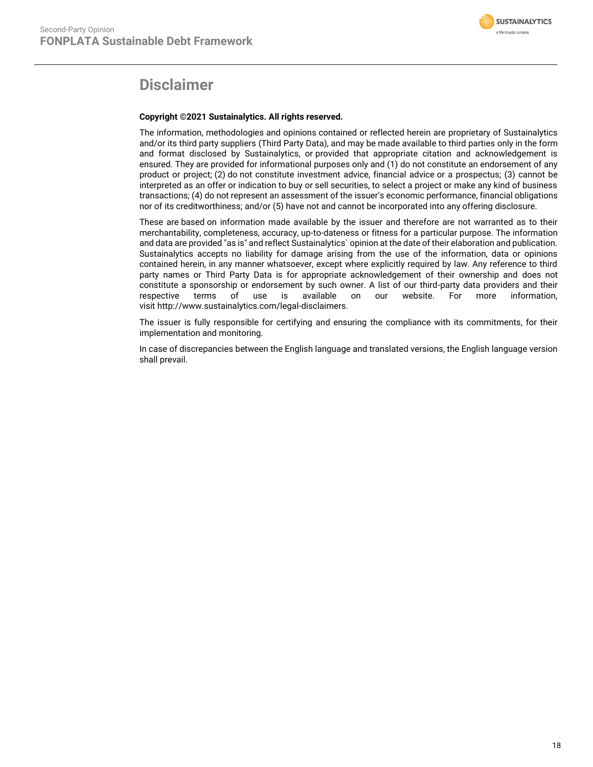

# **Disclaimer**

#### **Copyright ©2021 Sustainalytics. All rights reserved.**

The information, methodologies and opinions contained or reflected herein are proprietary of Sustainalytics and/or its third party suppliers (Third Party Data), and may be made available to third parties only in the form and format disclosed by Sustainalytics, or provided that appropriate citation and acknowledgement is ensured. They are provided for informational purposes only and (1) do not constitute an endorsement of any product or project; (2) do not constitute investment advice, financial advice or a prospectus; (3) cannot be interpreted as an offer or indication to buy or sell securities, to select a project or make any kind of business transactions; (4) do not represent an assessment of the issuer's economic performance, financial obligations nor of its creditworthiness; and/or (5) have not and cannot be incorporated into any offering disclosure.

These are based on information made available by the issuer and therefore are not warranted as to their merchantability, completeness, accuracy, up-to-dateness or fitness for a particular purpose. The information and data are provided "as is" and reflect Sustainalytics` opinion at the date of their elaboration and publication. Sustainalytics accepts no liability for damage arising from the use of the information, data or opinions contained herein, in any manner whatsoever, except where explicitly required by law. Any reference to third party names or Third Party Data is for appropriate acknowledgement of their ownership and does not constitute a sponsorship or endorsement by such owner. A list of our third-party data providers and their respective terms of use is available on our website. For more information, visit http://www.sustainalytics.com/legal-disclaimers.

The issuer is fully responsible for certifying and ensuring the compliance with its commitments, for their implementation and monitoring.

In case of discrepancies between the English language and translated versions, the English language version shall prevail.